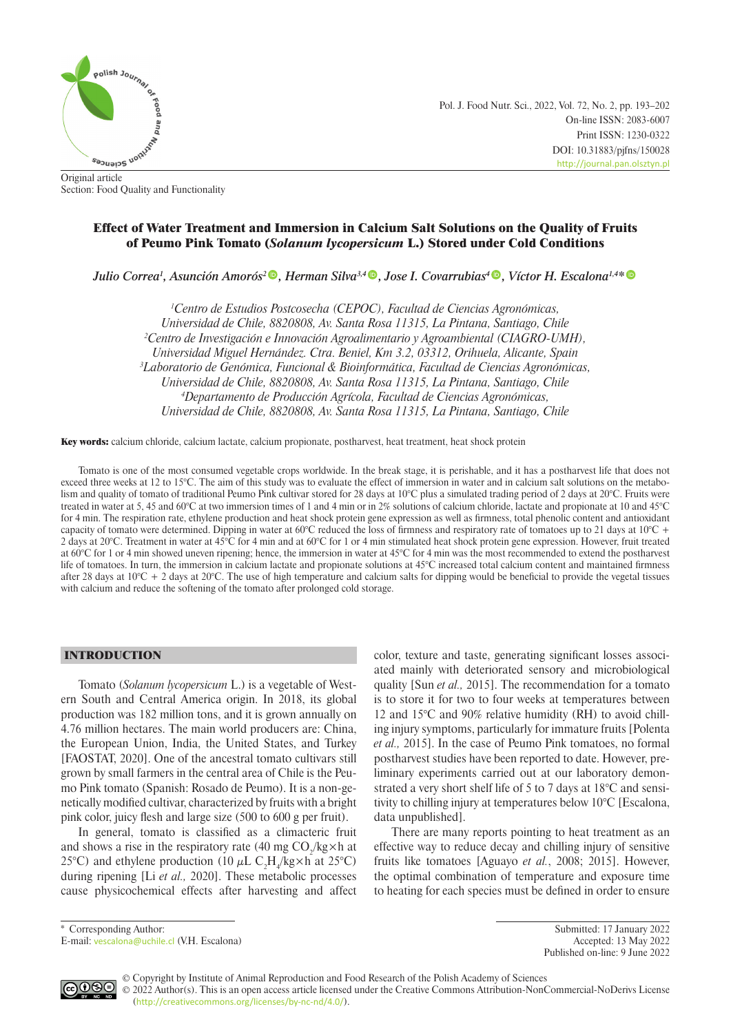

Pol. J. Food Nutr. Sci., 2022, Vol. 72, No. 2, pp. 193–202 On-line ISSN: 2083-6007 Print ISSN: 1230-0322 DOI: 10.31883/pjfns/150028 <http://journal.pan.olsztyn.pl>

Original article Section: Food Quality and Functionality

# Effect of Water Treatment and Immersion in Calcium Salt Solutions on the Quality of Fruits of Peumo Pink Tomato (*Solanum lycopersicum* L.) Stored under Cold Conditions

*Julio Correa1 , Asunción Amorós[2](https://orcid.org/0000-0002-1028-097X) , Herman Silva3,4 , Jose I. Covarrubias[4](https://orcid.org/0000-0002-1028-097X) , Víctor H. Escalona1,4\**

<sup>1</sup> Centro de Estudios Postcosecha (CEPOC), Facultad de Ciencias Agronómicas, *Universidad de Chile, 8820808, Av. Santa Rosa 11315, La Pintana, Santiago, Chile 2 Centro de Investigación e Innovación Agroalimentario y Agroambiental (CIAGRO-UMH), Universidad Miguel Hernández. Ctra. Beniel, Km 3.2, 03312, Orihuela, Alicante, Spain 3 Laboratorio de Genómica, Funcional & Bioinformática, Facultad de Ciencias Agronómicas, Universidad de Chile, 8820808, Av. Santa Rosa 11315, La Pintana, Santiago, Chile 4 Departamento de Producción Agrícola, Facultad de Ciencias Agronómicas, Universidad de Chile, 8820808, Av. Santa Rosa 11315, La Pintana, Santiago, Chile*

Key words: calcium chloride, calcium lactate, calcium propionate, postharvest, heat treatment, heat shock protein

Tomato is one of the most consumed vegetable crops worldwide. In the break stage, it is perishable, and it has a postharvest life that does not exceed three weeks at 12 to 15°C. The aim of this study was to evaluate the effect of immersion in water and in calcium salt solutions on the metabolism and quality of tomato of traditional Peumo Pink cultivar stored for 28 days at 10°C plus a simulated trading period of 2 days at 20°C. Fruits were treated in water at 5, 45 and 60°C at two immersion times of 1 and 4 min or in 2% solutions of calcium chloride, lactate and propionate at 10 and 45°C for 4 min. The respiration rate, ethylene production and heat shock protein gene expression as well as firmness, total phenolic content and antioxidant capacity of tomato were determined. Dipping in water at 60°C reduced the loss of firmness and respiratory rate of tomatoes up to 21 days at 10°C + 2 days at 20°C. Treatment in water at 45°C for 4 min and at 60°C for 1 or 4 min stimulated heat shock protein gene expression. However, fruit treated at 60°C for 1 or 4 min showed uneven ripening; hence, the immersion in water at 45°C for 4 min was the most recommended to extend the postharvest life of tomatoes. In turn, the immersion in calcium lactate and propionate solutions at 45°C increased total calcium content and maintained firmness after 28 days at  $10^{\circ}\text{C} + 2$  days at  $20^{\circ}\text{C}$ . The use of high temperature and calcium salts for dipping would be beneficial to provide the vegetal tissues with calcium and reduce the softening of the tomato after prolonged cold storage.

## INTRODUCTION

Tomato (*Solanum lycopersicum* L.) is a vegetable of Western South and Central America origin. In 2018, its global production was 182 million tons, and it is grown annually on 4.76 million hectares. The main world producers are: China, the European Union, India, the United States, and Turkey [FAOSTAT, 2020]. One of the ancestral tomato cultivars still grown by small farmers in the central area of Chile is the Peumo Pink tomato (Spanish: Rosado de Peumo). It is a non-genetically modified cultivar, characterized by fruits with a bright pink color, juicy flesh and large size (500 to 600 g per fruit).

In general, tomato is classified as a climacteric fruit and shows a rise in the respiratory rate (40 mg  $CO_2/kg\times h$  at 25°C) and ethylene production (10  $\mu$ L C<sub>2</sub>H<sub>4</sub>/kg×h at 25°C) during ripening [Li *et al.,* 2020]. These metabolic processes cause physicochemical effects after harvesting and affect

color, texture and taste, generating significant losses associated mainly with deteriorated sensory and microbiological quality [Sun *et al.,* 2015]. The recommendation for a tomato is to store it for two to four weeks at temperatures between 12 and 15°C and 90% relative humidity (RH) to avoid chilling injury symptoms, particularly for immature fruits [Polenta *et al.,* 2015]. In the case of Peumo Pink tomatoes, no formal postharvest studies have been reported to date. However, preliminary experiments carried out at our laboratory demonstrated a very short shelf life of 5 to 7 days at 18°C and sensitivity to chilling injury at temperatures below 10°C [Escalona, data unpublished].

There are many reports pointing to heat treatment as an effective way to reduce decay and chilling injury of sensitive fruits like tomatoes [Aguayo *et al.*, 2008; 2015]. However, the optimal combination of temperature and exposure time to heating for each species must be defined in order to ensure

\* Corresponding Author: Submitted: 17 January 2022 Published on-line: 9 June 2022



© Copyright by Institute of Animal Reproduction and Food Research of the Polish Academy of Sciences © 2022 Author(s). This is an open access article licensed under the Creative Commons Attribution-NonCommercial-NoDerivs License ([http://creativecommons.org/licenses/by-nc-nd/4.0/](http://creativecommons.org/licenses/by-nc-nd/3.0/)).

E-mail: [vescalona@uchile.cl](mailto:vescalona%40uchile.cl?subject=) (V.H. Escalona) Accepted: 13 May 2022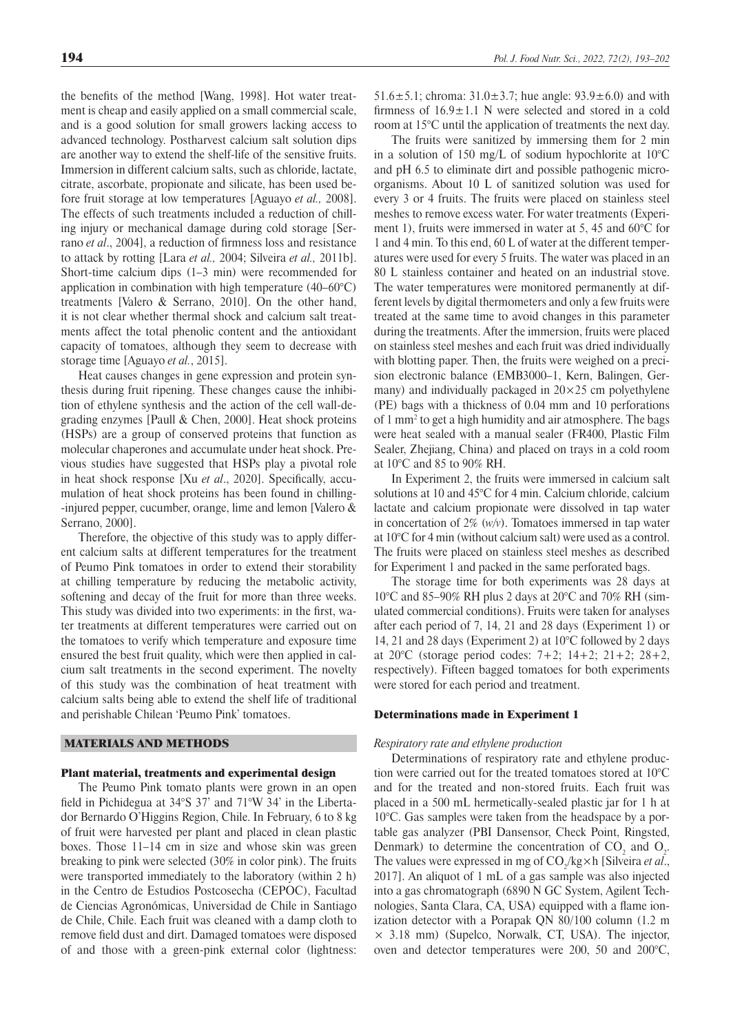the benefits of the method [Wang, 1998]. Hot water treatment is cheap and easily applied on a small commercial scale, and is a good solution for small growers lacking access to advanced technology. Postharvest calcium salt solution dips are another way to extend the shelf-life of the sensitive fruits. Immersion in different calcium salts, such as chloride, lactate, citrate, ascorbate, propionate and silicate, has been used before fruit storage at low temperatures [Aguayo *et al.,* 2008]. The effects of such treatments included a reduction of chilling injury or mechanical damage during cold storage [Serrano *et al*., 2004], a reduction of firmness loss and resistance to attack by rotting [Lara *et al.,* 2004; Silveira *et al.,* 2011b]. Short-time calcium dips (1–3 min) were recommended for application in combination with high temperature (40–60°C) treatments [Valero & Serrano, 2010]. On the other hand, it is not clear whether thermal shock and calcium salt treatments affect the total phenolic content and the antioxidant capacity of tomatoes, although they seem to decrease with storage time [Aguayo *et al.*, 2015].

Heat causes changes in gene expression and protein synthesis during fruit ripening. These changes cause the inhibition of ethylene synthesis and the action of the cell wall-degrading enzymes [Paull & Chen, 2000]. Heat shock proteins (HSPs) are a group of conserved proteins that function as molecular chaperones and accumulate under heat shock. Previous studies have suggested that HSPs play a pivotal role in heat shock response [Xu *et al*., 2020]. Specifically, accumulation of heat shock proteins has been found in chilling- -injured pepper, cucumber, orange, lime and lemon [Valero & Serrano, 2000].

Therefore, the objective of this study was to apply different calcium salts at different temperatures for the treatment of Peumo Pink tomatoes in order to extend their storability at chilling temperature by reducing the metabolic activity, softening and decay of the fruit for more than three weeks. This study was divided into two experiments: in the first, water treatments at different temperatures were carried out on the tomatoes to verify which temperature and exposure time ensured the best fruit quality, which were then applied in calcium salt treatments in the second experiment. The novelty of this study was the combination of heat treatment with calcium salts being able to extend the shelf life of traditional and perishable Chilean 'Peumo Pink' tomatoes.

## MATERIALS AND METHODS

### Plant material, treatments and experimental design

The Peumo Pink tomato plants were grown in an open field in Pichidegua at 34°S 37' and 71°W 34' in the Libertador Bernardo O'Higgins Region, Chile. In February, 6 to 8 kg of fruit were harvested per plant and placed in clean plastic boxes. Those 11–14 cm in size and whose skin was green breaking to pink were selected (30% in color pink). The fruits were transported immediately to the laboratory (within 2 h) in the Centro de Estudios Postcosecha (CEPOC), Facultad de Ciencias Agronómicas, Universidad de Chile in Santiago de Chile, Chile. Each fruit was cleaned with a damp cloth to remove field dust and dirt. Damaged tomatoes were disposed of and those with a green-pink external color (lightness: 51.6 $\pm$ 5.1; chroma: 31.0 $\pm$ 3.7; hue angle: 93.9 $\pm$ 6.0) and with firmness of  $16.9 \pm 1.1$  N were selected and stored in a cold room at 15°C until the application of treatments the next day.

The fruits were sanitized by immersing them for 2 min in a solution of 150 mg/L of sodium hypochlorite at  $10^{\circ}$ C and pH 6.5 to eliminate dirt and possible pathogenic microorganisms. About 10 L of sanitized solution was used for every 3 or 4 fruits. The fruits were placed on stainless steel meshes to remove excess water. For water treatments (Experiment 1), fruits were immersed in water at 5, 45 and 60°C for 1 and 4 min. To this end, 60 L of water at the different temperatures were used for every 5 fruits. The water was placed in an 80 L stainless container and heated on an industrial stove. The water temperatures were monitored permanently at different levels by digital thermometers and only a few fruits were treated at the same time to avoid changes in this parameter during the treatments. After the immersion, fruits were placed on stainless steel meshes and each fruit was dried individually with blotting paper. Then, the fruits were weighed on a precision electronic balance (EMB3000–1, Kern, Balingen, Germany) and individually packaged in  $20 \times 25$  cm polyethylene (PE) bags with a thickness of 0.04 mm and 10 perforations of 1 mm<sup>2</sup> to get a high humidity and air atmosphere. The bags were heat sealed with a manual sealer (FR400, Plastic Film Sealer, Zhejiang, China) and placed on trays in a cold room at 10°C and 85 to 90% RH.

In Experiment 2, the fruits were immersed in calcium salt solutions at 10 and 45°C for 4 min. Calcium chloride, calcium lactate and calcium propionate were dissolved in tap water in concertation of 2% (*w/v*). Tomatoes immersed in tap water at 10°C for 4 min (without calcium salt) were used as a control. The fruits were placed on stainless steel meshes as described for Experiment 1 and packed in the same perforated bags.

The storage time for both experiments was 28 days at 10°C and 85–90% RH plus 2 days at 20°C and 70% RH (simulated commercial conditions). Fruits were taken for analyses after each period of 7, 14, 21 and 28 days (Experiment 1) or 14, 21 and 28 days (Experiment 2) at 10°C followed by 2 days at 20°C (storage period codes: 7+2; 14+2; 21+2; 28+2, respectively). Fifteen bagged tomatoes for both experiments were stored for each period and treatment.

### Determinations made in Experiment 1

## *Respiratory rate and ethylene production*

Determinations of respiratory rate and ethylene production were carried out for the treated tomatoes stored at 10°C and for the treated and non-stored fruits. Each fruit was placed in a 500 mL hermetically-sealed plastic jar for 1 h at 10°C. Gas samples were taken from the headspace by a portable gas analyzer (PBI Dansensor, Check Point, Ringsted, Denmark) to determine the concentration of  $CO_2$  and  $O_2$ . The values were expressed in mg of  $CO_2/kg \times h$  [Silveira *et al.*, 2017]. An aliquot of 1 mL of a gas sample was also injected into a gas chromatograph (6890 N GC System, Agilent Technologies, Santa Clara, CA, USA) equipped with a flame ionization detector with a Porapak QN 80/100 column (1.2 m  $\times$  3.18 mm) (Supelco, Norwalk, CT, USA). The injector, oven and detector temperatures were 200, 50 and 200°C,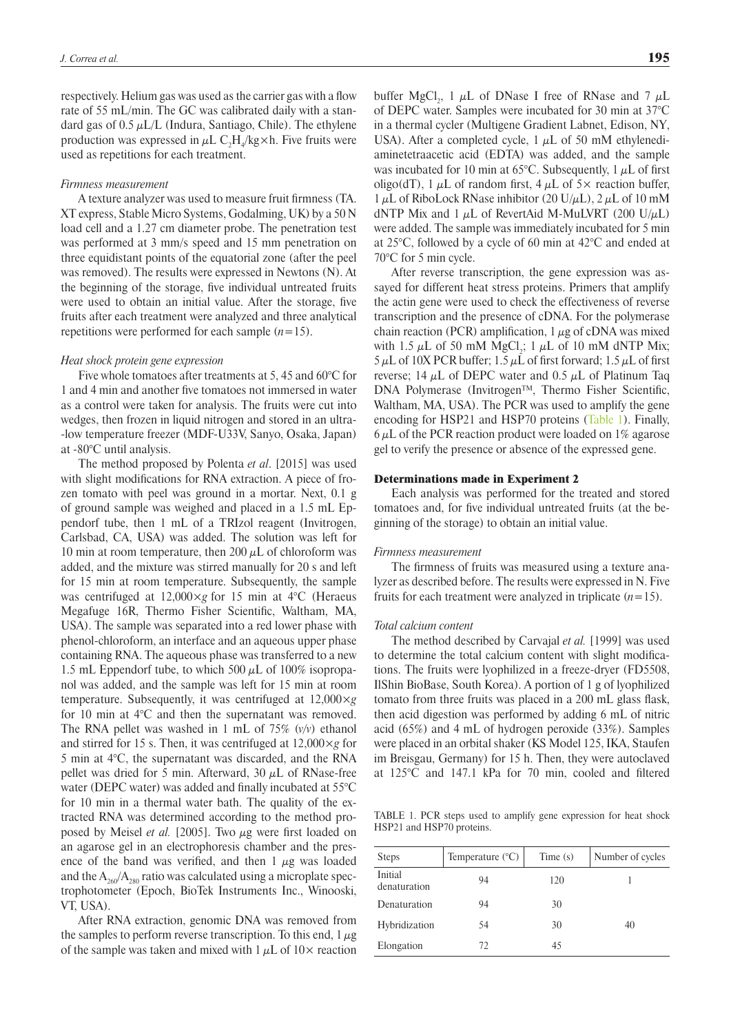respectively. Helium gas was used as the carrier gas with a flow rate of 55 mL/min. The GC was calibrated daily with a standard gas of  $0.5 \mu L/L$  (Indura, Santiago, Chile). The ethylene production was expressed in  $\mu$ L C<sub>2</sub>H<sub>4</sub>/kg×h. Five fruits were used as repetitions for each treatment.

#### *Firmness measurement*

A texture analyzer was used to measure fruit firmness (TA. XT express, Stable Micro Systems, Godalming, UK) by a 50 N load cell and a 1.27 cm diameter probe. The penetration test was performed at 3 mm/s speed and 15 mm penetration on three equidistant points of the equatorial zone (after the peel was removed). The results were expressed in Newtons (N). At the beginning of the storage, five individual untreated fruits were used to obtain an initial value. After the storage, five fruits after each treatment were analyzed and three analytical repetitions were performed for each sample  $(n=15)$ .

#### *Heat shock protein gene expression*

Five whole tomatoes after treatments at 5, 45 and 60°C for 1 and 4 min and another five tomatoes not immersed in water as a control were taken for analysis. The fruits were cut into wedges, then frozen in liquid nitrogen and stored in an ultra- -low temperature freezer (MDF-U33V, Sanyo, Osaka, Japan) at -80°C until analysis.

The method proposed by Polenta *et al*. [2015] was used with slight modifications for RNA extraction. A piece of frozen tomato with peel was ground in a mortar. Next, 0.1 g of ground sample was weighed and placed in a 1.5 mL Eppendorf tube, then 1 mL of a TRIzol reagent (Invitrogen, Carlsbad, CA, USA) was added. The solution was left for 10 min at room temperature, then 200  $\mu$ L of chloroform was added, and the mixture was stirred manually for 20 s and left for 15 min at room temperature. Subsequently, the sample was centrifuged at 12,000×*g* for 15 min at 4°C (Heraeus Megafuge 16R, Thermo Fisher Scientific, Waltham, MA, USA). The sample was separated into a red lower phase with phenol-chloroform, an interface and an aqueous upper phase containing RNA. The aqueous phase was transferred to a new 1.5 mL Eppendorf tube, to which 500  $\mu$ L of 100% isopropanol was added, and the sample was left for 15 min at room temperature. Subsequently, it was centrifuged at 12,000×*g* for 10 min at  $4^{\circ}$ C and then the supernatant was removed. The RNA pellet was washed in 1 mL of 75% (*v/v*) ethanol and stirred for 15 s. Then, it was centrifuged at 12,000×*g* for 5 min at 4°C, the supernatant was discarded, and the RNA pellet was dried for 5 min. Afterward, 30  $\mu$ L of RNase-free water (DEPC water) was added and finally incubated at 55°C for 10 min in a thermal water bath. The quality of the extracted RNA was determined according to the method proposed by Meisel *et al.* [2005]. Two  $\mu$ g were first loaded on an agarose gel in an electrophoresis chamber and the presence of the band was verified, and then  $1 \mu g$  was loaded and the  $A_{260}/A_{280}$  ratio was calculated using a microplate spectrophotometer (Epoch, BioTek Instruments Inc., Winooski, VT, USA).

After RNA extraction, genomic DNA was removed from the samples to perform reverse transcription. To this end,  $1 \mu$ g of the sample was taken and mixed with 1  $\mu$ L of 10× reaction

buffer MgCl<sub>2</sub>, 1  $\mu$ L of DNase I free of RNase and 7  $\mu$ L of DEPC water. Samples were incubated for 30 min at 37°C in a thermal cycler (Multigene Gradient Labnet, Edison, NY, USA). After a completed cycle, 1  $\mu$ L of 50 mM ethylenediaminetetraacetic acid (EDTA) was added, and the sample was incubated for 10 min at 65°C. Subsequently, 1  $\mu$ L of first oligo(dT), 1  $\mu$ L of random first, 4  $\mu$ L of 5× reaction buffer,  $1 \mu$ L of RiboLock RNase inhibitor (20 U/ $\mu$ L), 2  $\mu$ L of 10 mM dNTP Mix and 1  $\mu$ L of RevertAid M-MuLVRT (200 U/ $\mu$ L) were added. The sample was immediately incubated for 5 min at 25°C, followed by a cycle of 60 min at 42°C and ended at 70°C for 5 min cycle.

After reverse transcription, the gene expression was assayed for different heat stress proteins. Primers that amplify the actin gene were used to check the effectiveness of reverse transcription and the presence of cDNA. For the polymerase chain reaction (PCR) amplification,  $1 \mu$ g of cDNA was mixed with 1.5  $\mu$ L of 50 mM MgCl<sub>2</sub>; 1  $\mu$ L of 10 mM dNTP Mix;  $5 \mu L$  of 10X PCR buffer; 1.5  $\mu L$  of first forward; 1.5  $\mu L$  of first reverse; 14  $\mu$ L of DEPC water and 0.5  $\mu$ L of Platinum Taq DNA Polymerase (Invitrogen™, Thermo Fisher Scientific, Waltham, MA, USA). The PCR was used to amplify the gene encoding for HSP21 and HSP70 proteins ([Table 1\)](#page-2-0). Finally,  $6 \mu$ L of the PCR reaction product were loaded on 1% agarose gel to verify the presence or absence of the expressed gene.

### Determinations made in Experiment 2

Each analysis was performed for the treated and stored tomatoes and, for five individual untreated fruits (at the beginning of the storage) to obtain an initial value.

### *Firmness measurement*

The firmness of fruits was measured using a texture analyzer as described before. The results were expressed in N. Five fruits for each treatment were analyzed in triplicate  $(n=15)$ .

#### *Total calcium content*

The method described by Carvajal *et al.* [1999] was used to determine the total calcium content with slight modifications. The fruits were lyophilized in a freeze-dryer (FD5508, IlShin BioBase, South Korea). A portion of 1 g of lyophilized tomato from three fruits was placed in a 200 mL glass flask, then acid digestion was performed by adding 6 mL of nitric acid (65%) and 4 mL of hydrogen peroxide (33%). Samples were placed in an orbital shaker (KS Model 125, IKA, Staufen im Breisgau, Germany) for 15 h. Then, they were autoclaved at 125°C and 147.1 kPa for 70 min, cooled and filtered

<span id="page-2-0"></span>TABLE 1. PCR steps used to amplify gene expression for heat shock HSP21 and HSP70 proteins.

| <b>Steps</b>            | Temperature $(^{\circ}C)$ | Time(s) | Number of cycles |
|-------------------------|---------------------------|---------|------------------|
| Initial<br>denaturation | 94                        | 120     |                  |
| Denaturation            | 94                        | 30      |                  |
| Hybridization           | 54                        | 30      | 40               |
| Elongation              | 72                        | 45      |                  |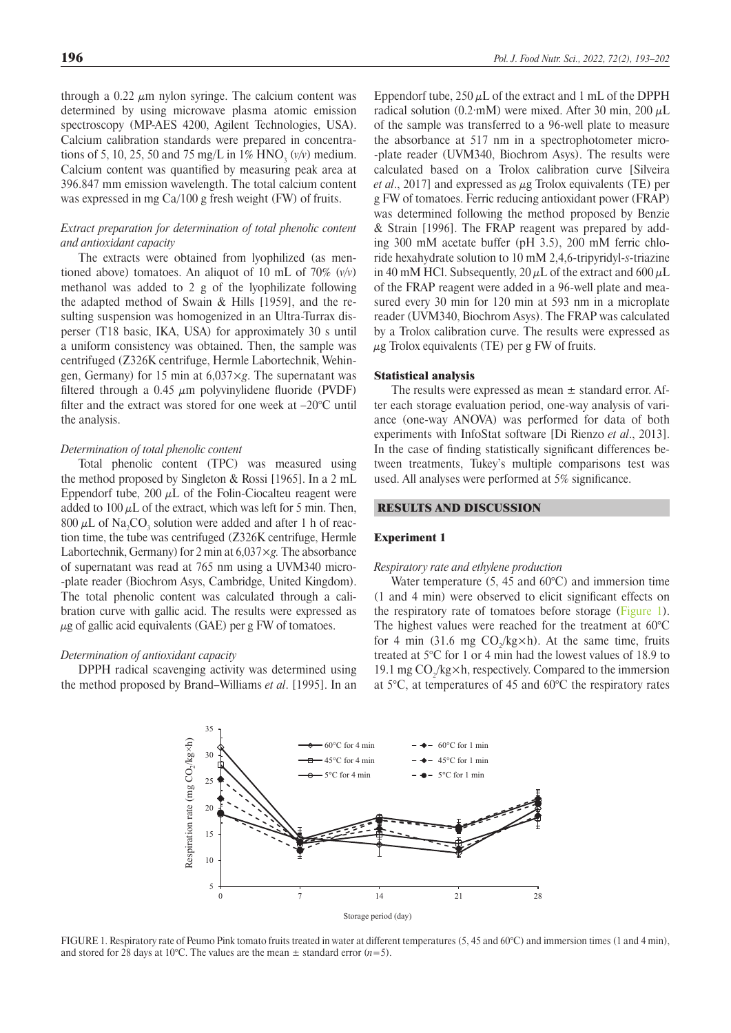through a 0.22  $\mu$ m nylon syringe. The calcium content was determined by using microwave plasma atomic emission spectroscopy (MP-AES 4200, Agilent Technologies, USA). Calcium calibration standards were prepared in concentrations of 5, 10, 25, 50 and 75 mg/L in  $1\%$  HNO<sub>3</sub> (*v*/*v*) medium. Calcium content was quantified by measuring peak area at 396.847 mm emission wavelength. The total calcium content was expressed in mg Ca/100 g fresh weight (FW) of fruits.

## *Extract preparation for determination of total phenolic content and antioxidant capacity*

The extracts were obtained from lyophilized (as mentioned above) tomatoes. An aliquot of 10 mL of 70% (*v/v*) methanol was added to 2 g of the lyophilizate following the adapted method of Swain & Hills [1959], and the resulting suspension was homogenized in an Ultra-Turrax disperser (T18 basic, IKA, USA) for approximately 30 s until a uniform consistency was obtained. Then, the sample was centrifuged (Z326K centrifuge, Hermle Labortechnik, Wehingen, Germany) for 15 min at 6,037×*g*. The supernatant was filtered through a 0.45  $\mu$ m polyvinylidene fluoride (PVDF) filter and the extract was stored for one week at –20°C until the analysis.

### *Determination of total phenolic content*

Total phenolic content (TPC) was measured using the method proposed by Singleton & Rossi [1965]. In a 2 mL Eppendorf tube, 200  $\mu$ L of the Folin-Ciocalteu reagent were added to  $100 \mu L$  of the extract, which was left for 5 min. Then,  $800 \mu L$  of Na<sub>2</sub>CO<sub>3</sub> solution were added and after 1 h of reaction time, the tube was centrifuged (Z326K centrifuge, Hermle Labortechnik, Germany) for 2 min at 6,037×*g.* The absorbance of supernatant was read at 765 nm using a UVM340 micro- -plate reader (Biochrom Asys, Cambridge, United Kingdom). The total phenolic content was calculated through a calibration curve with gallic acid. The results were expressed as  $\mu$ g of gallic acid equivalents (GAE) per g FW of tomatoes.

## *Determination of antioxidant capacity*

<span id="page-3-0"></span>DPPH radical scavenging activity was determined using the method proposed by Brand–Williams *et al*. [1995]. In an

Eppendorf tube,  $250 \mu L$  of the extract and 1 mL of the DPPH radical solution (0.2·mM) were mixed. After 30 min, 200  $\mu$ L of the sample was transferred to a 96-well plate to measure the absorbance at 517 nm in a spectrophotometer micro--plate reader (UVM340, Biochrom Asys). The results were calculated based on a Trolox calibration curve [Silveira *et al*., 2017] and expressed as μg Trolox equivalents (TE) per g FW of tomatoes. Ferric reducing antioxidant power (FRAP) was determined following the method proposed by Benzie & Strain [1996]. The FRAP reagent was prepared by adding 300 mM acetate buffer (pH 3.5), 200 mM ferric chloride hexahydrate solution to 10 mM 2,4,6-tripyridyl-*s*-triazine in 40 mM HCl. Subsequently,  $20 \mu L$  of the extract and  $600 \mu L$ of the FRAP reagent were added in a 96-well plate and measured every 30 min for 120 min at 593 nm in a microplate reader (UVM340, Biochrom Asys). The FRAP was calculated by a Trolox calibration curve. The results were expressed as  $\mu$ g Trolox equivalents (TE) per g FW of fruits.

### Statistical analysis

The results were expressed as mean  $\pm$  standard error. After each storage evaluation period, one-way analysis of variance (one-way ANOVA) was performed for data of both experiments with InfoStat software [Di Rienzo *et al*., 2013]. In the case of finding statistically significant differences between treatments, Tukey's multiple comparisons test was used. All analyses were performed at 5% significance.

### RESULTS AND DISCUSSION

### Experiment 1

#### *Respiratory rate and ethylene production*

Water temperature  $(5, 45 \text{ and } 60^{\circ}\text{C})$  and immersion time (1 and 4 min) were observed to elicit significant effects on the respiratory rate of tomatoes before storage [\(Figure 1](#page-3-0)). The highest values were reached for the treatment at 60°C for 4 min (31.6 mg  $CO_2/kg\times h$ ). At the same time, fruits treated at 5°C for 1 or 4 min had the lowest values of 18.9 to 19.1 mg  $CO_2/kg \times h$ , respectively. Compared to the immersion at 5°C, at temperatures of 45 and 60°C the respiratory rates



FIGURE 1. Respiratory rate of Peumo Pink tomato fruits treated in water at different temperatures (5, 45 and 60°C) and immersion times (1 and 4 min), and stored for 28 days at 10°C. The values are the mean  $\pm$  standard error (*n*=5).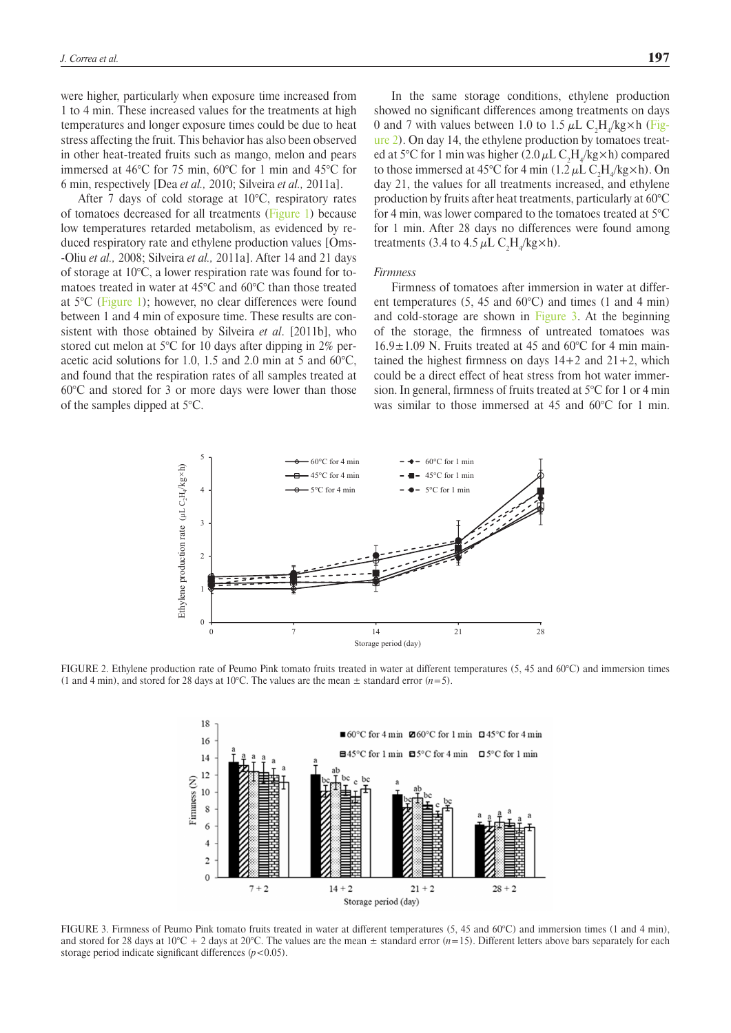were higher, particularly when exposure time increased from 1 to 4 min. These increased values for the treatments at high temperatures and longer exposure times could be due to heat stress affecting the fruit. This behavior has also been observed in other heat-treated fruits such as mango, melon and pears immersed at 46°C for 75 min, 60°C for 1 min and 45°C for 6 min, respectively [Dea *et al.,* 2010; Silveira *et al.,* 2011a].

After 7 days of cold storage at  $10^{\circ}$ C, respiratory rates of tomatoes decreased for all treatments [\(Figure 1](#page-3-0)) because low temperatures retarded metabolism, as evidenced by reduced respiratory rate and ethylene production values [Oms- -Oliu *et al.,* 2008; Silveira *et al.,* 2011a]. After 14 and 21 days of storage at 10°C, a lower respiration rate was found for tomatoes treated in water at 45°C and 60°C than those treated at 5°C [\(Figure 1\)](#page-3-0); however, no clear differences were found between 1 and 4 min of exposure time. These results are consistent with those obtained by Silveira *et al*. [2011b], who stored cut melon at 5°C for 10 days after dipping in 2% peracetic acid solutions for 1.0, 1.5 and 2.0 min at 5 and 60°C, and found that the respiration rates of all samples treated at 60°C and stored for 3 or more days were lower than those of the samples dipped at 5°C.

In the same storage conditions, ethylene production showed no significant differences among treatments on days 0 and 7 with values between 1.0 to 1.5  $\mu$ L C<sub>2</sub>H<sub>4</sub>/kg×h ([Fig](#page-4-0)[ure 2\)](#page-4-0). On day 14, the ethylene production by tomatoes treated at 5°C for 1 min was higher  $(2.0 \mu L C_2 H_4/kg \times h)$  compared to those immersed at 45°C for 4 min  $(1.2 \mu L C_2H_4/kg \times h)$ . On day 21, the values for all treatments increased, and ethylene production by fruits after heat treatments, particularly at 60°C for 4 min, was lower compared to the tomatoes treated at 5°C for 1 min. After 28 days no differences were found among treatments (3.4 to 4.5  $\mu$ L C<sub>2</sub>H<sub>4</sub>/kg×h).

#### *Firmness*

<span id="page-4-1"></span>Firmness of tomatoes after immersion in water at different temperatures (5, 45 and 60°C) and times (1 and 4 min) and cold-storage are shown in Figure 3. At the beginning of the storage, the firmness of untreated tomatoes was  $16.9\pm1.09$  N. Fruits treated at 45 and 60°C for 4 min maintained the highest firmness on days  $14+2$  and  $21+2$ , which could be a direct effect of heat stress from hot water immersion. In general, firmness of fruits treated at 5°C for 1 or 4 min was similar to those immersed at 45 and 60°C for 1 min.

<span id="page-4-0"></span>

FIGURE 2. Ethylene production rate of Peumo Pink tomato fruits treated in water at different temperatures (5, 45 and 60°C) and immersion times (1 and 4 min), and stored for 28 days at 10°C. The values are the mean  $\pm$  standard error (*n*=5).



FIGURE 3. Firmness of Peumo Pink tomato fruits treated in water at different temperatures (5, 45 and 60°C) and immersion times (1 and 4 min), and stored for 28 days at 10°C + 2 days at 20°C. The values are the mean  $\pm$  standard error (*n*=15). Different letters above bars separately for each storage period indicate significant differences ( $p$ <0.05).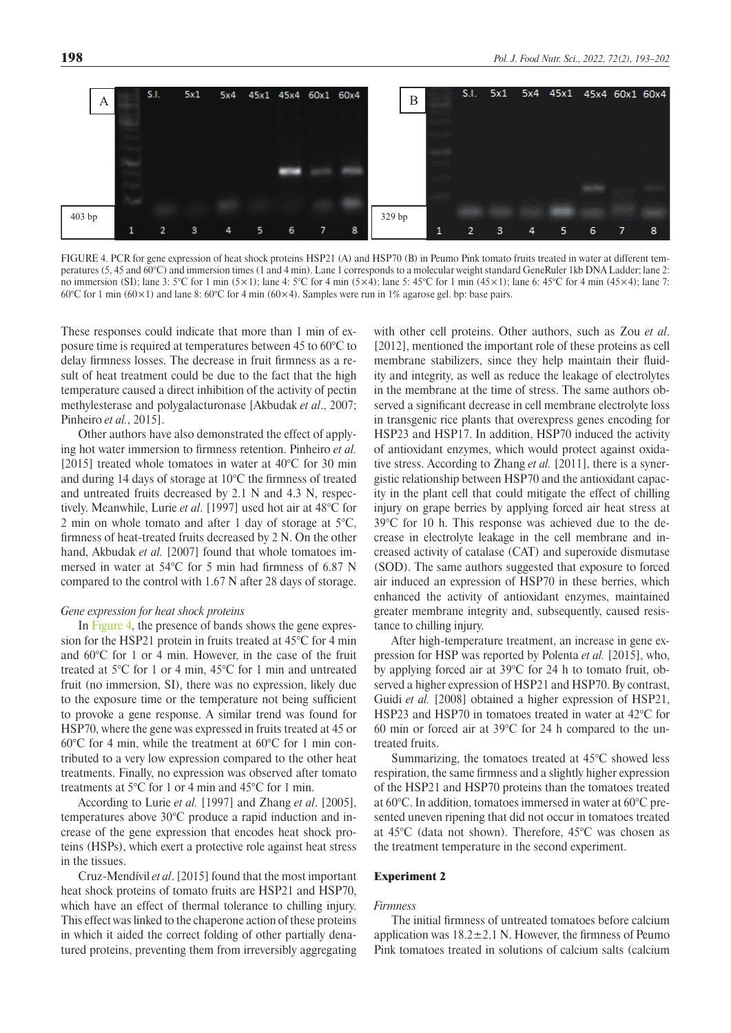<span id="page-5-0"></span>

FIGURE 4. PCR for gene expression of heat shock proteins HSP21 (A) and HSP70 (B) in Peumo Pink tomato fruits treated in water at different temperatures (5, 45 and 60°C) and immersion times (1 and 4 min). Lane 1 corresponds to a molecular weight standard GeneRuler 1kb DNA Ladder; lane 2: no immersion (SI); lane 3: 5°C for 1 min (5×1); lane 4: 5°C for 4 min (5×4); lane 5: 45°C for 1 min (45×1); lane 6: 45°C for 4 min (45×4); lane 7: 60°C for 1 min (60×1) and lane 8: 60°C for 4 min (60×4). Samples were run in 1% agarose gel. bp: base pairs.

These responses could indicate that more than 1 min of exposure time is required at temperatures between 45 to 60°C to delay firmness losses. The decrease in fruit firmness as a result of heat treatment could be due to the fact that the high temperature caused a direct inhibition of the activity of pectin methylesterase and polygalacturonase [Akbudak *et al*., 2007; Pinheiro *et al.*, 2015].

Other authors have also demonstrated the effect of applying hot water immersion to firmness retention. Pinheiro *et al.* [2015] treated whole tomatoes in water at 40°C for 30 min and during 14 days of storage at 10°C the firmness of treated and untreated fruits decreased by 2.1 N and 4.3 N, respectively. Meanwhile, Lurie *et al*. [1997] used hot air at 48°C for 2 min on whole tomato and after 1 day of storage at  $5^{\circ}$ C, firmness of heat-treated fruits decreased by 2 N. On the other hand, Akbudak et al. [2007] found that whole tomatoes immersed in water at 54°C for 5 min had firmness of 6.87 N compared to the control with 1.67 N after 28 days of storage.

### *Gene expression for heat shock proteins*

In [Figure 4](#page-5-0), the presence of bands shows the gene expression for the HSP21 protein in fruits treated at 45°C for 4 min and 60°C for 1 or 4 min. However, in the case of the fruit treated at 5°C for 1 or 4 min, 45°C for 1 min and untreated fruit (no immersion, SI), there was no expression, likely due to the exposure time or the temperature not being sufficient to provoke a gene response. A similar trend was found for HSP70, where the gene was expressed in fruits treated at 45 or 60°C for 4 min, while the treatment at 60°C for 1 min contributed to a very low expression compared to the other heat treatments. Finally, no expression was observed after tomato treatments at 5°C for 1 or 4 min and 45°C for 1 min.

According to Lurie *et al.* [1997] and Zhang *et al*. [2005], temperatures above 30°C produce a rapid induction and increase of the gene expression that encodes heat shock proteins (HSPs), which exert a protective role against heat stress in the tissues.

Cruz-Mendívil *et al*. [2015] found that the most important heat shock proteins of tomato fruits are HSP21 and HSP70, which have an effect of thermal tolerance to chilling injury. This effect was linked to the chaperone action of these proteins in which it aided the correct folding of other partially denatured proteins, preventing them from irreversibly aggregating with other cell proteins. Other authors, such as Zou *et al*. [2012], mentioned the important role of these proteins as cell membrane stabilizers, since they help maintain their fluidity and integrity, as well as reduce the leakage of electrolytes in the membrane at the time of stress. The same authors observed a significant decrease in cell membrane electrolyte loss in transgenic rice plants that overexpress genes encoding for HSP23 and HSP17. In addition, HSP70 induced the activity of antioxidant enzymes, which would protect against oxidative stress. According to Zhang *et al.* [2011], there is a synergistic relationship between HSP70 and the antioxidant capacity in the plant cell that could mitigate the effect of chilling injury on grape berries by applying forced air heat stress at 39°C for 10 h. This response was achieved due to the decrease in electrolyte leakage in the cell membrane and increased activity of catalase (CAT) and superoxide dismutase (SOD). The same authors suggested that exposure to forced air induced an expression of HSP70 in these berries, which enhanced the activity of antioxidant enzymes, maintained greater membrane integrity and, subsequently, caused resistance to chilling injury.

After high-temperature treatment, an increase in gene expression for HSP was reported by Polenta *et al.* [2015], who, by applying forced air at 39°C for 24 h to tomato fruit, observed a higher expression of HSP21 and HSP70. By contrast, Guidi *et al.* [2008] obtained a higher expression of HSP21, HSP23 and HSP70 in tomatoes treated in water at 42°C for 60 min or forced air at 39°C for 24 h compared to the untreated fruits.

Summarizing, the tomatoes treated at 45°C showed less respiration, the same firmness and a slightly higher expression of the HSP21 and HSP70 proteins than the tomatoes treated at 60°C. In addition, tomatoes immersed in water at 60°C presented uneven ripening that did not occur in tomatoes treated at 45°C (data not shown). Therefore, 45°C was chosen as the treatment temperature in the second experiment.

### Experiment 2

## *Firmness*

The initial firmness of untreated tomatoes before calcium application was  $18.2 \pm 2.1$  N. However, the firmness of Peumo Pink tomatoes treated in solutions of calcium salts (calcium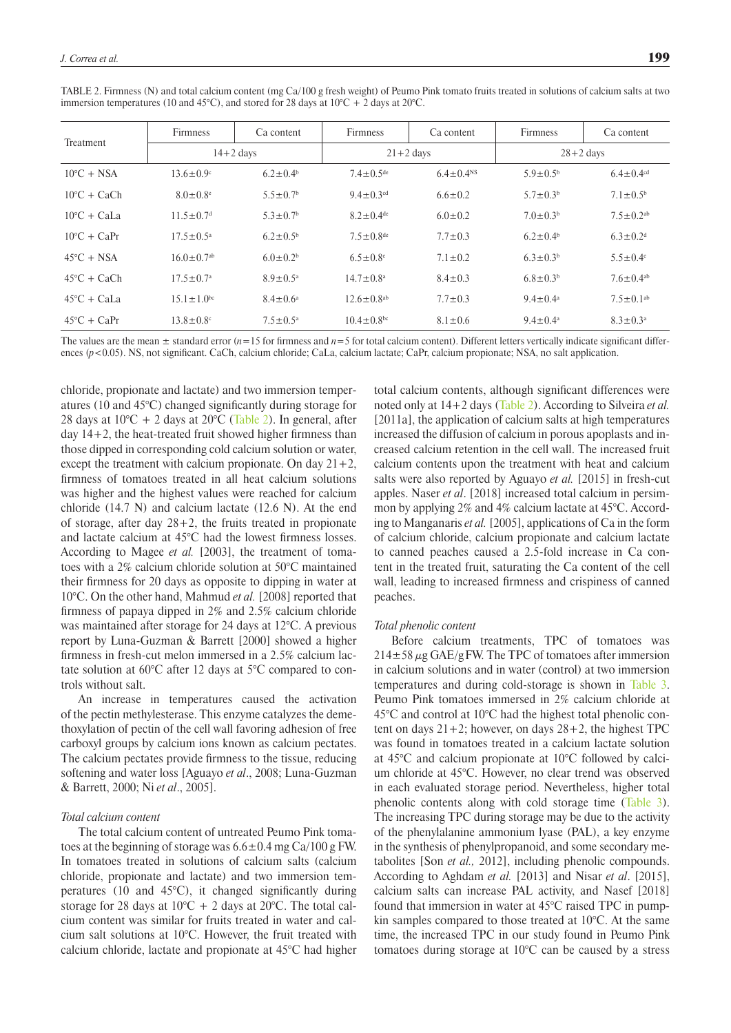| <b>Treatment</b>      | <b>Firmness</b>              | Ca content                 | <b>Firmness</b>              | Ca content                  | <b>Firmness</b>          | Ca content                  |
|-----------------------|------------------------------|----------------------------|------------------------------|-----------------------------|--------------------------|-----------------------------|
|                       | $14+2$ days                  |                            | $21+2$ days                  |                             | $28+2$ days              |                             |
| $10^{\circ}$ C + NSA  | $13.6 \pm 0.9$ °             | $6.2 \pm 0.4^{\circ}$      | $7.4 \pm 0.5$ <sup>de</sup>  | $6.4 \pm 0.4$ <sup>NS</sup> | $5.9 \pm 0.5^{\rm b}$    | $6.4 \pm 0.4$ <sup>cd</sup> |
| $10^{\circ}$ C + CaCh | $8.0 \pm 0.8$ <sup>e</sup>   | $5.5 \pm 0.7$ <sup>b</sup> | $9.4 \pm 0.3$ <sup>cd</sup>  | $6.6 \pm 0.2$               | $5.7 \pm 0.3^b$          | $7.1 \pm 0.5^{\rm b}$       |
| $10^{\circ}$ C + CaLa | $11.5 \pm 0.7$ <sup>d</sup>  | $5.3 \pm 0.7$ <sup>b</sup> | $8.2 \pm 0.4$ <sup>de</sup>  | $6.0 \pm 0.2$               | $7.0 \pm 0.3^b$          | $7.5 \pm 0.2$ <sup>ab</sup> |
| $10^{\circ}$ C + CaPr | $17.5 \pm 0.5^{\circ}$       | $6.2 \pm 0.5^{\rm b}$      | $7.5 \pm 0.8$ <sup>de</sup>  | $7.7 \pm 0.3$               | $6.2 \pm 0.4^b$          | $6.3 \pm 0.2$ <sup>d</sup>  |
| $45^{\circ}$ C + NSA  | $16.0 \pm 0.7$ <sup>ab</sup> | $6.0 \pm 0.2^b$            | $6.5 \pm 0.8$ <sup>e</sup>   | $7.1 \pm 0.2$               | $6.3 \pm 0.3^b$          | $5.5 \pm 0.4$ <sup>e</sup>  |
| $45^{\circ}$ C + CaCh | $17.5 \pm 0.7^{\circ}$       | $8.9 \pm 0.5^{\circ}$      | $14.7 \pm 0.8^{\text{a}}$    | $8.4 \pm 0.3$               | $6.8 \pm 0.3^b$          | $7.6 \pm 0.4$ <sup>ab</sup> |
| $45^{\circ}$ C + CaLa | $15.1 \pm 1.0^{bc}$          | $8.4 \pm 0.6^{\circ}$      | $12.6 \pm 0.8$ <sup>ab</sup> | $7.7 \pm 0.3$               | $9.4 \pm 0.4^{\text{a}}$ | $7.5 \pm 0.1$ <sup>ab</sup> |
| $45^{\circ}$ C + CaPr | $13.8 \pm 0.8$               | $7.5 \pm 0.5^{\circ}$      | $10.4 \pm 0.8$ bc            | $8.1 \pm 0.6$               | $9.4 \pm 0.4^{\circ}$    | $8.3 \pm 0.3^{\text{a}}$    |

<span id="page-6-0"></span>TABLE 2. Firmness (N) and total calcium content (mg Ca/100 g fresh weight) of Peumo Pink tomato fruits treated in solutions of calcium salts at two immersion temperatures (10 and 45°C), and stored for 28 days at 10°C + 2 days at 20°C.

The values are the mean  $\pm$  standard error ( $n=15$  for firmness and  $n=5$  for total calcium content). Different letters vertically indicate significant differences ( $p$ <0.05). NS, not significant. CaCh, calcium chloride; CaLa, calcium lactate; CaPr, calcium propionate; NSA, no salt application.

chloride, propionate and lactate) and two immersion temperatures (10 and 45°C) changed significantly during storage for 28 days at  $10^{\circ}\text{C} + 2$  days at  $20^{\circ}\text{C}$  [\(Table 2\)](#page-6-0). In general, after day 14+2, the heat-treated fruit showed higher firmness than those dipped in corresponding cold calcium solution or water, except the treatment with calcium propionate. On day  $21+2$ , firmness of tomatoes treated in all heat calcium solutions was higher and the highest values were reached for calcium chloride  $(14.7 \text{ N})$  and calcium lactate  $(12.6 \text{ N})$ . At the end of storage, after day 28+2, the fruits treated in propionate and lactate calcium at 45°C had the lowest firmness losses. According to Magee *et al.* [2003], the treatment of tomatoes with a 2% calcium chloride solution at 50°C maintained their firmness for 20 days as opposite to dipping in water at 10°C. On the other hand, Mahmud *et al.* [2008] reported that firmness of papaya dipped in 2% and 2.5% calcium chloride was maintained after storage for 24 days at 12°C. A previous report by Luna-Guzman & Barrett [2000] showed a higher firmness in fresh-cut melon immersed in a 2.5% calcium lactate solution at 60°C after 12 days at 5°C compared to controls without salt.

An increase in temperatures caused the activation of the pectin methylesterase. This enzyme catalyzes the demethoxylation of pectin of the cell wall favoring adhesion of free carboxyl groups by calcium ions known as calcium pectates. The calcium pectates provide firmness to the tissue, reducing softening and water loss [Aguayo *et al*., 2008; Luna-Guzman & Barrett, 2000; Ni *et al*., 2005].

## *Total calcium content*

The total calcium content of untreated Peumo Pink tomatoes at the beginning of storage was  $6.6 \pm 0.4$  mg Ca/100 g FW. In tomatoes treated in solutions of calcium salts (calcium chloride, propionate and lactate) and two immersion temperatures (10 and 45°C), it changed significantly during storage for 28 days at  $10^{\circ}$ C + 2 days at 20 $^{\circ}$ C. The total calcium content was similar for fruits treated in water and calcium salt solutions at 10°C. However, the fruit treated with calcium chloride, lactate and propionate at 45°C had higher

total calcium contents, although significant differences were noted only at 14+2 days ([Table 2](#page-6-0)). According to Silveira *et al.* [2011a], the application of calcium salts at high temperatures increased the diffusion of calcium in porous apoplasts and increased calcium retention in the cell wall. The increased fruit calcium contents upon the treatment with heat and calcium salts were also reported by Aguayo *et al.* [2015] in fresh-cut apples. Naser *et al*. [2018] increased total calcium in persimmon by applying 2% and 4% calcium lactate at 45°C. According to Manganaris *et al.* [2005], applications of Ca in the form of calcium chloride, calcium propionate and calcium lactate to canned peaches caused a 2.5-fold increase in Ca content in the treated fruit, saturating the Ca content of the cell wall, leading to increased firmness and crispiness of canned peaches.

## *Total phenolic content*

Before calcium treatments, TPC of tomatoes was  $214\pm58 \,\mu$ g GAE/gFW. The TPC of tomatoes after immersion in calcium solutions and in water (control) at two immersion temperatures and during cold-storage is shown in [Table 3](#page-7-0). Peumo Pink tomatoes immersed in 2% calcium chloride at 45°C and control at 10°C had the highest total phenolic content on days  $21+2$ ; however, on days  $28+2$ , the highest TPC was found in tomatoes treated in a calcium lactate solution at 45°C and calcium propionate at 10°C followed by calcium chloride at 45°C. However, no clear trend was observed in each evaluated storage period. Nevertheless, higher total phenolic contents along with cold storage time [\(Table 3](#page-7-0)). The increasing TPC during storage may be due to the activity of the phenylalanine ammonium lyase (PAL), a key enzyme in the synthesis of phenylpropanoid, and some secondary metabolites [Son *et al.,* 2012], including phenolic compounds. According to Aghdam *et al.* [2013] and Nisar *et al*. [2015], calcium salts can increase PAL activity, and Nasef [2018] found that immersion in water at 45°C raised TPC in pumpkin samples compared to those treated at 10°C. At the same time, the increased TPC in our study found in Peumo Pink tomatoes during storage at 10°C can be caused by a stress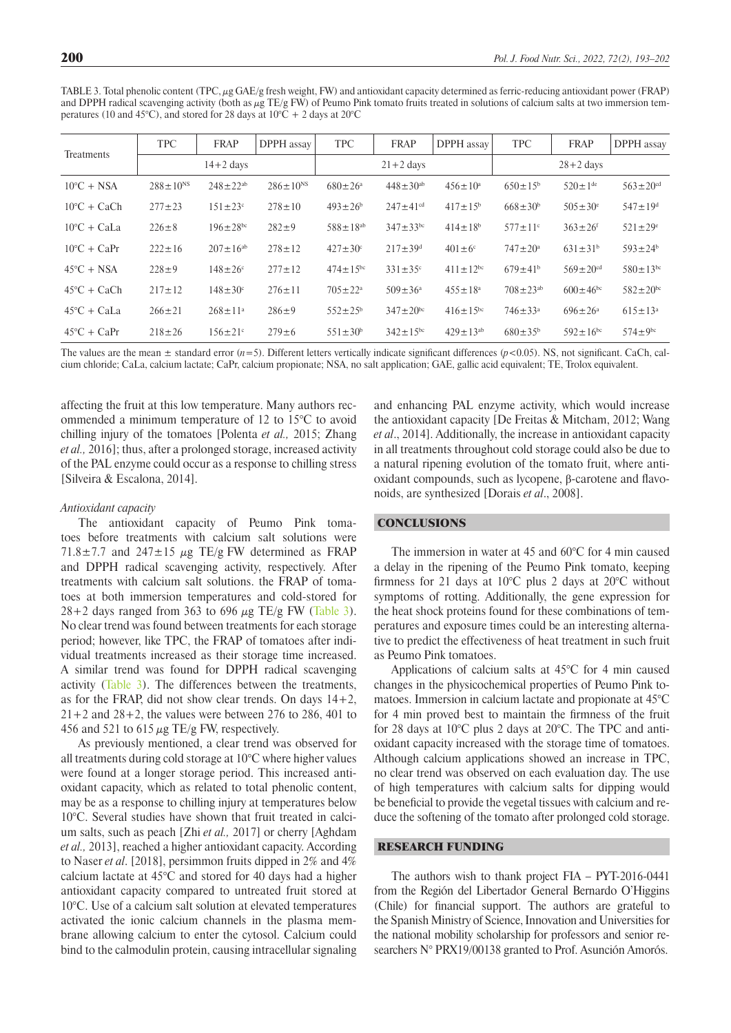<span id="page-7-0"></span>TABLE 3. Total phenolic content (TPC, μg GAE/g fresh weight, FW) and antioxidant capacity determined as ferric-reducing antioxidant power (FRAP) and DPPH radical scavenging activity (both as  $\mu$ g TE/g FW) of Peumo Pink tomato fruits treated in solutions of calcium salts at two immersion temperatures (10 and 45°C), and stored for 28 days at  $10^{\circ}C + 2$  days at  $20^{\circ}C$ 

| Treatments            | <b>TPC</b>        | <b>FRAP</b>                | DPPH assay        | <b>TPC</b>           | <b>FRAP</b>                | DPPH assay        | <b>TPC</b>                | <b>FRAP</b>                | DPPH assay                 |
|-----------------------|-------------------|----------------------------|-------------------|----------------------|----------------------------|-------------------|---------------------------|----------------------------|----------------------------|
|                       | $14+2$ days       |                            | $21+2$ days       |                      |                            | $28 + 2$ days     |                           |                            |                            |
| $10^{\circ}$ C + NSA  | $288 \pm 10^{NS}$ | $248 \pm 22^{ab}$          | $286 \pm 10^{NS}$ | $680 \pm 26^{\circ}$ | $448 \pm 30^{ab}$          | $456 \pm 10^a$    | $650 \pm 15^{\circ}$      | $520 \pm 1$ <sup>de</sup>  | $563 \pm 20$ <sup>cd</sup> |
| $10^{\circ}$ C + CaCh | $277 \pm 23$      | $151 \pm 23$ °             | $278 \pm 10$      | $493 \pm 26^b$       | $247 \pm 41$ <sup>cd</sup> | $417 \pm 15^b$    | $668 \pm 30^6$            | $505 \pm 30^{\circ}$       | $547 \pm 19$ <sup>d</sup>  |
| $10^{\circ}$ C + CaLa | $226 \pm 8$       | $196 \pm 28$ <sup>bc</sup> | $282 + 9$         | $588 \pm 18^{ab}$    | $347 \pm 33$ <sup>bc</sup> | $414 \pm 18^{b}$  | $577 \pm 11$ <sup>c</sup> | $363 \pm 26$ <sup>f</sup>  | $521 \pm 29^e$             |
| $10^{\circ}$ C + CaPr | $222 \pm 16$      | $207 \pm 16^{ab}$          | $278 \pm 12$      | $427 \pm 30^{\circ}$ | $217 \pm 39$ <sup>d</sup>  | $401 \pm 6$ °     | $747 \pm 20^a$            | $631 \pm 31^b$             | $593 \pm 24$ <sup>b</sup>  |
| $45^{\circ}$ C + NSA  | $228 \pm 9$       | $148 \pm 26^{\circ}$       | $277 \pm 12$      | $474 \pm 15^{bc}$    | $331 \pm 35$ °             | $411 \pm 12^{bc}$ | $679 \pm 41^{b}$          | $569 \pm 20$ <sup>cd</sup> | $580 \pm 13^{bc}$          |
| $45^{\circ}$ C + CaCh | $217 \pm 12$      | $148 \pm 30^{\circ}$       | $276 \pm 11$      | $705 \pm 22^{\circ}$ | $509 \pm 36^{\circ}$       | $455 \pm 18^a$    | $708 \pm 23^{ab}$         | $600 \pm 46$ <sup>bc</sup> | $582 \pm 20^{bc}$          |
| $45^{\circ}$ C + CaLa | $266 \pm 21$      | $268 \pm 11$ <sup>a</sup>  | $286 + 9$         | $552 \pm 25^{\circ}$ | $347 \pm 20^{bc}$          | $416 \pm 15^{bc}$ | $746 \pm 33$ <sup>a</sup> | $696 \pm 26^{\circ}$       | $615 \pm 13^a$             |
| $45^{\circ}$ C + CaPr | $218 \pm 26$      | $156 \pm 21$ °             | $279 \pm 6$       | $551 \pm 30^{\rm b}$ | $342 \pm 15^{bc}$          | $429 \pm 13^{ab}$ | $680 \pm 35^{\rm b}$      | $592 \pm 16^{bc}$          | $574 \pm 9^{bc}$           |

The values are the mean  $\pm$  standard error  $(n=5)$ . Different letters vertically indicate significant differences  $(p<0.05)$ . NS, not significant. CaCh, calcium chloride; CaLa, calcium lactate; CaPr, calcium propionate; NSA, no salt application; GAE, gallic acid equivalent; TE, Trolox equivalent.

affecting the fruit at this low temperature. Many authors recommended a minimum temperature of 12 to 15°C to avoid chilling injury of the tomatoes [Polenta *et al.,* 2015; Zhang *et al.,* 2016]; thus, after a prolonged storage, increased activity of the PAL enzyme could occur as a response to chilling stress [Silveira & Escalona, 2014].

#### *Antioxidant capacity*

The antioxidant capacity of Peumo Pink tomatoes before treatments with calcium salt solutions were 71.8 $\pm$ 7.7 and 247 $\pm$ 15  $\mu$ g TE/g FW determined as FRAP and DPPH radical scavenging activity, respectively. After treatments with calcium salt solutions. the FRAP of tomatoes at both immersion temperatures and cold-stored for  $28+2$  days ranged from 363 to 696  $\mu$ g TE/g FW [\(Table 3](#page-7-0)). No clear trend was found between treatments for each storage period; however, like TPC, the FRAP of tomatoes after individual treatments increased as their storage time increased. A similar trend was found for DPPH radical scavenging activity ([Table 3](#page-7-0)). The differences between the treatments, as for the FRAP, did not show clear trends. On days 14+2,  $21+2$  and  $28+2$ , the values were between 276 to 286, 401 to 456 and 521 to 615  $\mu$ g TE/g FW, respectively.

As previously mentioned, a clear trend was observed for all treatments during cold storage at 10°C where higher values were found at a longer storage period. This increased antioxidant capacity, which as related to total phenolic content, may be as a response to chilling injury at temperatures below 10°C. Several studies have shown that fruit treated in calcium salts, such as peach [Zhi *et al.,* 2017] or cherry [Aghdam *et al.,* 2013], reached a higher antioxidant capacity. According to Naser *et al*. [2018], persimmon fruits dipped in 2% and 4% calcium lactate at 45°C and stored for 40 days had a higher antioxidant capacity compared to untreated fruit stored at 10°C. Use of a calcium salt solution at elevated temperatures activated the ionic calcium channels in the plasma membrane allowing calcium to enter the cytosol. Calcium could bind to the calmodulin protein, causing intracellular signaling

and enhancing PAL enzyme activity, which would increase the antioxidant capacity [De Freitas & Mitcham, 2012; Wang *et al*., 2014]. Additionally, the increase in antioxidant capacity in all treatments throughout cold storage could also be due to a natural ripening evolution of the tomato fruit, where antioxidant compounds, such as lycopene, β-carotene and flavonoids, are synthesized [Dorais *et al*., 2008].

### **CONCLUSIONS**

The immersion in water at 45 and 60°C for 4 min caused a delay in the ripening of the Peumo Pink tomato, keeping firmness for 21 days at 10 $\degree$ C plus 2 days at 20 $\degree$ C without symptoms of rotting. Additionally, the gene expression for the heat shock proteins found for these combinations of temperatures and exposure times could be an interesting alternative to predict the effectiveness of heat treatment in such fruit as Peumo Pink tomatoes.

Applications of calcium salts at 45°C for 4 min caused changes in the physicochemical properties of Peumo Pink tomatoes. Immersion in calcium lactate and propionate at 45°C for 4 min proved best to maintain the firmness of the fruit for 28 days at 10°C plus 2 days at 20°C. The TPC and antioxidant capacity increased with the storage time of tomatoes. Although calcium applications showed an increase in TPC, no clear trend was observed on each evaluation day. The use of high temperatures with calcium salts for dipping would be beneficial to provide the vegetal tissues with calcium and reduce the softening of the tomato after prolonged cold storage.

## RESEARCH FUNDING

The authors wish to thank project FIA – PYT-2016-0441 from the Región del Libertador General Bernardo O'Higgins (Chile) for financial support. The authors are grateful to the Spanish Ministry of Science, Innovation and Universities for the national mobility scholarship for professors and senior researchers N° PRX19/00138 granted to Prof. Asunción Amorós.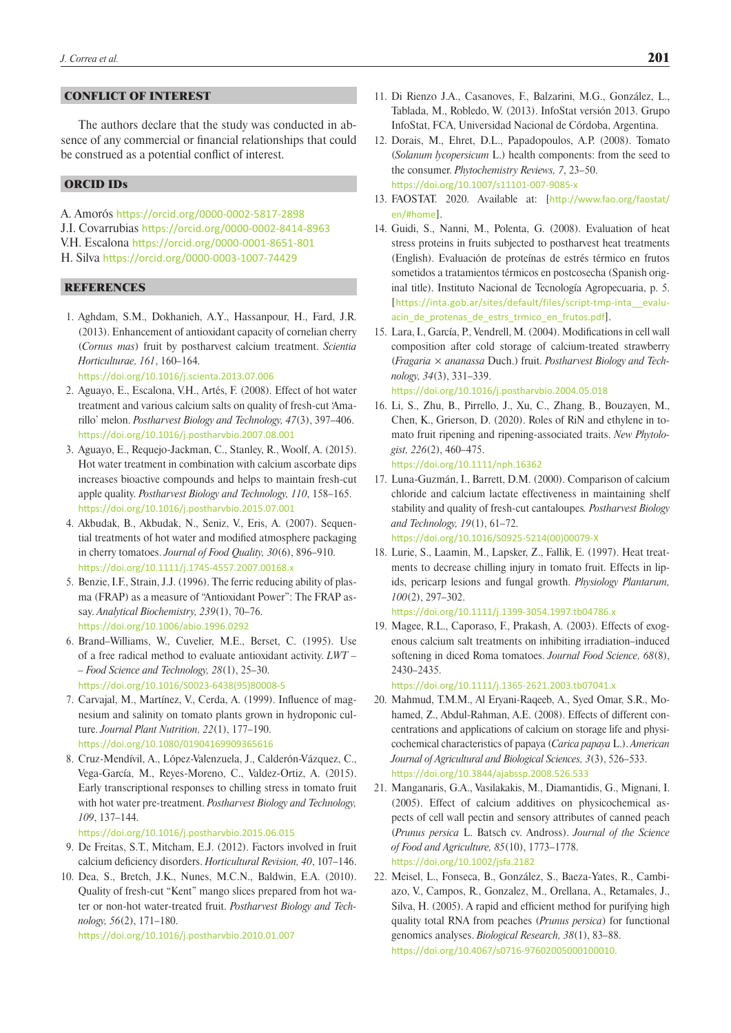## CONFLICT OF INTEREST

The authors declare that the study was conducted in absence of any commercial or financial relationships that could be construed as a potential conflict of interest.

## ORCID IDs

A. Amorós <https://orcid.org/0000-0002-5817-2898> J.I. Covarrubias <https://orcid.org/0000-0002-8414-8963> V.H. Escalona <https://orcid.org/0000-0001-8651-801> H. Silva <https://orcid.org/0000-0003-1007-74429>

## **REFERENCES**

- 1. Aghdam, S.M., Dokhanieh, A.Y., Hassanpour, H., Fard, J.R. (2013). Enhancement of antioxidant capacity of cornelian cherry (*Cornus mas*) fruit by postharvest calcium treatment. *Scientia Horticulturae, 161*, 160–164. <https://doi.org/10.1016/j.scienta.2013.07.006>
- 2. Aguayo, E., Escalona, V.H., Artés, F. (2008). Effect of hot water
- treatment and various calcium salts on quality of fresh-cut 'Amarillo' melon. *Postharvest Biology and Technology, 47*(3), 397–406. <https://doi.org/10.1016/j.postharvbio.2007.08.001>
- 3. Aguayo, E., Requejo-Jackman, C., Stanley, R., Woolf, A. (2015). Hot water treatment in combination with calcium ascorbate dips increases bioactive compounds and helps to maintain fresh-cut apple quality. *Postharvest Biology and Technology, 110*, 158–165. <https://doi.org/10.1016/j.postharvbio.2015.07.001>
- 4. Akbudak, B., Akbudak, N., Seniz, V., Eris, A. (2007). Sequential treatments of hot water and modified atmosphere packaging in cherry tomatoes. *Journal of Food Quality, 30*(6), 896–910. <https://doi.org/10.1111/j.1745-4557.2007.00168.x>
- 5. Benzie, I.F., Strain, J.J. (1996). The ferric reducing ability of plasma (FRAP) as a measure of "Antioxidant Power": The FRAP assay. *Analytical Biochemistry, 239*(1), 70–76. <https://doi.org/10.1006/abio.1996.0292>
- 6. Brand–Williams, W., Cuvelier, M.E., Berset, C. (1995). Use of a free radical method to evaluate antioxidant activity. *LWT – – Food Science and Technology, 28*(1), 25–30. [https://doi.org/10.1016/S0023-6438\(95\)80008-5](https://doi.org/10.1016/S0023-6438(95)80008-5)
- 7. Carvajal, M., Martínez, V., Cerda, A. (1999). Influence of magnesium and salinity on tomato plants grown in hydroponic culture. *Journal Plant Nutrition, 22*(1), 177–190. <https://doi.org/10.1080/01904169909365616>
- 8. Cruz-Mendívil, A., López-Valenzuela, J., Calderón-Vázquez, C., Vega-García, M., Reyes-Moreno, C., Valdez-Ortiz, A. (2015). Early transcriptional responses to chilling stress in tomato fruit with hot water pre-treatment. *Postharvest Biology and Technology, 109*, 137–144.

<https://doi.org/10.1016/j.postharvbio.2015.06.015>

- 9. De Freitas, S.T., Mitcham, E.J. (2012). Factors involved in fruit calcium deficiency disorders. *Horticultural Revision, 40*, 107–146.
- 10. Dea, S., Bretch, J.K., Nunes, M.C.N., Baldwin, E.A. (2010). Quality of fresh-cut "Kent" mango slices prepared from hot water or non-hot water-treated fruit. *Postharvest Biology and Technology, 56*(2), 171–180.

<https://doi.org/10.1016/j.postharvbio.2010.01.007>

- 11. Di Rienzo J.A., Casanoves, F., Balzarini, M.G., González, L., Tablada, M., Robledo, W. (2013). InfoStat versión 2013. Grupo InfoStat, FCA, Universidad Nacional de Córdoba, Argentina.
- 12. Dorais, M., Ehret, D.L., Papadopoulos, A.P. (2008). Tomato (*Solanum lycopersicum* L.) health components: from the seed to the consumer. *Phytochemistry Reviews, 7*, 23–50. <https://doi.org/10.1007/s11101-007-9085-x>
- 13. FAOSTAT. 2020. Available at: [[http://www.fao.org/faostat/](http://www.fao.org/faostat/en/#home) [en/#home](http://www.fao.org/faostat/en/#home)].
- 14. Guidi, S., Nanni, M., Polenta, G. (2008). Evaluation of heat stress proteins in fruits subjected to postharvest heat treatments (English). Evaluación de proteínas de estrés térmico en frutos sometidos a tratamientos térmicos en postcosecha (Spanish original title). Instituto Nacional de Tecnología Agropecuaria, p. 5. [[https://inta.gob.ar/sites/default/files/script-tmp-inta\\_\\_evalu](https://inta.gob.ar/sites/default/files/script-tmp-inta__evaluacin_de_protenas_de_estrs_trmico_en_frutos.pdf)[acin\\_de\\_protenas\\_de\\_estrs\\_trmico\\_en\\_frutos.pdf](https://inta.gob.ar/sites/default/files/script-tmp-inta__evaluacin_de_protenas_de_estrs_trmico_en_frutos.pdf)].
- 15. Lara, I., García, P., Vendrell, M. (2004). Modifications in cell wall composition after cold storage of calcium-treated strawberry (*Fragaria* × *ananassa* Duch.) fruit. *Postharvest Biology and Technology, 34*(3), 331–339. <https://doi.org/10.1016/j.postharvbio.2004.05.018>
- 16. Li, S., Zhu, B., Pirrello, J., Xu, C., Zhang, B., Bouzayen, M., Chen, K., Grierson, D. (2020). Roles of RiN and ethylene in tomato fruit ripening and ripening-associated traits. *New Phytologist, 226*(2), 460–475. <https://doi.org/10.1111/nph.16362>
- 17. Luna-Guzmán, I., Barrett, D.M. (2000). Comparison of calcium chloride and calcium lactate effectiveness in maintaining shelf stability and quality of fresh-cut cantaloupes*. Postharvest Biology and Technology, 19*(1), 61–72. [https://doi.org/10.1016/S0925-5214\(00\)00079-X](https://doi.org/10.1016/S0925-5214(00)00079-X)
- 18. Lurie, S., Laamin, M., Lapsker, Z., Fallik, E. (1997). Heat treatments to decrease chilling injury in tomato fruit. Effects in lipids, pericarp lesions and fungal growth. *Physiology Plantarum, 100*(2), 297–302.

<https://doi.org/10.1111/j.1399-3054.1997.tb04786.x>

19. Magee, R.L., Caporaso, F., Prakash, A. (2003). Effects of exogenous calcium salt treatments on inhibiting irradiation–induced softening in diced Roma tomatoes. *Journal Food Science, 68*(8), 2430–2435.

### <https://doi.org/10.1111/j.1365-2621.2003.tb07041.x>

- 20. Mahmud, T.M.M., Al Eryani-Raqeeb, A., Syed Omar, S.R., Mohamed, Z., Abdul-Rahman, A.E. (2008). Effects of different concentrations and applications of calcium on storage life and physicochemical characteristics of papaya (*Carica papaya* L.). *American Journal of Agricultural and Biological Sciences, 3*(3), 526–533. <https://doi.org/10.3844/ajabssp.2008.526.533>
- 21. Manganaris, G.A., Vasilakakis, M., Diamantidis, G., Mignani, I. (2005). Effect of calcium additives on physicochemical aspects of cell wall pectin and sensory attributes of canned peach (*Prunus persica* L. Batsch cv. Andross). *Journal of the Science of Food and Agriculture, 85*(10), 1773–1778. <https://doi.org/10.1002/jsfa.2182>
- 22. Meisel, L., Fonseca, B., González, S., Baeza-Yates, R., Cambiazo, V., Campos, R., Gonzalez, M., Orellana, A., Retamales, J., Silva, H. (2005). A rapid and efficient method for purifying high quality total RNA from peaches (*Prunus persica*) for functional genomics analyses. *Biological Research, 38*(1), 83–88. <https://doi.org/10.4067/s0716-97602005000100010>.